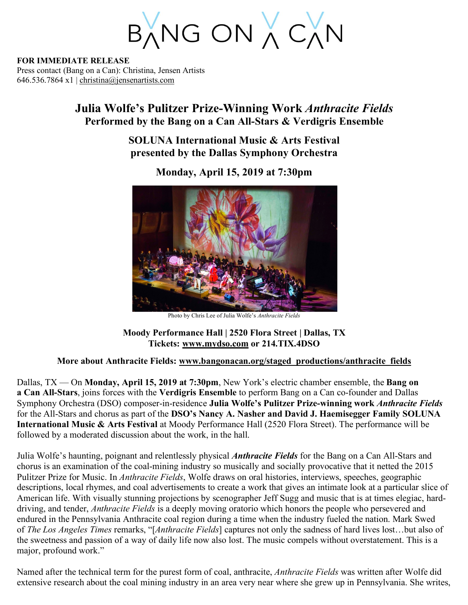BANG ON A CAN

**FOR IMMEDIATE RELEASE** Press contact (Bang on a Can): Christina, Jensen Artists 646.536.7864 x1 | christina@jensenartists.com

## **Julia Wolfe's Pulitzer Prize-Winning Work** *Anthracite Fields* **Performed by the Bang on a Can All-Stars & Verdigris Ensemble**

**SOLUNA International Music & Arts Festival presented by the Dallas Symphony Orchestra**



**Monday, April 15, 2019 at 7:30pm**

Photo by Chris Lee of Julia Wolfe's *Anthracite Fields*

## **Moody Performance Hall | 2520 Flora Street | Dallas, TX Tickets: www.mydso.com or 214.TIX.4DSO**

## **More about Anthracite Fields: www.bangonacan.org/staged\_productions/anthracite\_fields**

Dallas, TX — On **Monday, April 15, 2019 at 7:30pm**, New York's electric chamber ensemble, the **Bang on a Can All-Stars**, joins forces with the **Verdigris Ensemble** to perform Bang on a Can co-founder and Dallas Symphony Orchestra (DSO) composer-in-residence **Julia Wolfe's Pulitzer Prize-winning work** *Anthracite Fields* for the All-Stars and chorus as part of the **DSO's Nancy A. Nasher and David J. Haemisegger Family SOLUNA International Music & Arts Festival** at Moody Performance Hall (2520 Flora Street). The performance will be followed by a moderated discussion about the work, in the hall.

Julia Wolfe's haunting, poignant and relentlessly physical *Anthracite Fields* for the Bang on a Can All-Stars and chorus is an examination of the coal-mining industry so musically and socially provocative that it netted the 2015 Pulitzer Prize for Music. In *Anthracite Fields*, Wolfe draws on oral histories, interviews, speeches, geographic descriptions, local rhymes, and coal advertisements to create a work that gives an intimate look at a particular slice of American life. With visually stunning projections by scenographer Jeff Sugg and music that is at times elegiac, harddriving, and tender, *Anthracite Fields* is a deeply moving oratorio which honors the people who persevered and endured in the Pennsylvania Anthracite coal region during a time when the industry fueled the nation. Mark Swed of *The Los Angeles Times* remarks, "[*Anthracite Fields*] captures not only the sadness of hard lives lost…but also of the sweetness and passion of a way of daily life now also lost. The music compels without overstatement. This is a major, profound work."

Named after the technical term for the purest form of coal, anthracite, *Anthracite Fields* was written after Wolfe did extensive research about the coal mining industry in an area very near where she grew up in Pennsylvania. She writes,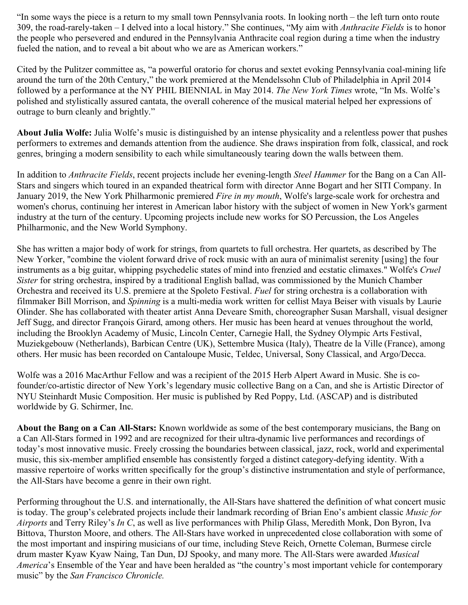"In some ways the piece is a return to my small town Pennsylvania roots. In looking north – the left turn onto route 309, the road-rarely-taken – I delved into a local history." She continues, "My aim with *Anthracite Fields* is to honor the people who persevered and endured in the Pennsylvania Anthracite coal region during a time when the industry fueled the nation, and to reveal a bit about who we are as American workers."

Cited by the Pulitzer committee as, "a powerful oratorio for chorus and sextet evoking Pennsylvania coal-mining life around the turn of the 20th Century," the work premiered at the Mendelssohn Club of Philadelphia in April 2014 followed by a performance at the NY PHIL BIENNIAL in May 2014. *The New York Times* wrote, "In Ms. Wolfe's polished and stylistically assured cantata, the overall coherence of the musical material helped her expressions of outrage to burn cleanly and brightly."

**About Julia Wolfe:** Julia Wolfe's music is distinguished by an intense physicality and a relentless power that pushes performers to extremes and demands attention from the audience. She draws inspiration from folk, classical, and rock genres, bringing a modern sensibility to each while simultaneously tearing down the walls between them.

In addition to *Anthracite Fields*, recent projects include her evening-length *Steel Hammer* for the Bang on a Can All-Stars and singers which toured in an expanded theatrical form with director Anne Bogart and her SITI Company. In January 2019, the New York Philharmonic premiered *Fire in my mouth*, Wolfe's large-scale work for orchestra and women's chorus, continuing her interest in American labor history with the subject of women in New York's garment industry at the turn of the century. Upcoming projects include new works for SO Percussion, the Los Angeles Philharmonic, and the New World Symphony.

She has written a major body of work for strings, from quartets to full orchestra. Her quartets, as described by The New Yorker, "combine the violent forward drive of rock music with an aura of minimalist serenity [using] the four instruments as a big guitar, whipping psychedelic states of mind into frenzied and ecstatic climaxes." Wolfe's *Cruel Sister* for string orchestra, inspired by a traditional English ballad, was commissioned by the Munich Chamber Orchestra and received its U.S. premiere at the Spoleto Festival. *Fuel* for string orchestra is a collaboration with filmmaker Bill Morrison, and *Spinning* is a multi-media work written for cellist Maya Beiser with visuals by Laurie Olinder. She has collaborated with theater artist Anna Deveare Smith, choreographer Susan Marshall, visual designer Jeff Sugg, and director François Girard, among others. Her music has been heard at venues throughout the world, including the Brooklyn Academy of Music, Lincoln Center, Carnegie Hall, the Sydney Olympic Arts Festival, Muziekgebouw (Netherlands), Barbican Centre (UK), Settembre Musica (Italy), Theatre de la Ville (France), among others. Her music has been recorded on Cantaloupe Music, Teldec, Universal, Sony Classical, and Argo/Decca.

Wolfe was a 2016 MacArthur Fellow and was a recipient of the 2015 Herb Alpert Award in Music. She is cofounder/co-artistic director of New York's legendary music collective Bang on a Can, and she is Artistic Director of NYU Steinhardt Music Composition. Her music is published by Red Poppy, Ltd. (ASCAP) and is distributed worldwide by G. Schirmer, Inc.

**About the Bang on a Can All-Stars:** Known worldwide as some of the best contemporary musicians, the Bang on a Can All-Stars formed in 1992 and are recognized for their ultra-dynamic live performances and recordings of today's most innovative music. Freely crossing the boundaries between classical, jazz, rock, world and experimental music, this six-member amplified ensemble has consistently forged a distinct category-defying identity. With a massive repertoire of works written specifically for the group's distinctive instrumentation and style of performance, the All-Stars have become a genre in their own right.

Performing throughout the U.S. and internationally, the All-Stars have shattered the definition of what concert music is today. The group's celebrated projects include their landmark recording of Brian Eno's ambient classic *Music for Airports* and Terry Riley's *In C*, as well as live performances with Philip Glass, Meredith Monk, Don Byron, Iva Bittova, Thurston Moore, and others. The All-Stars have worked in unprecedented close collaboration with some of the most important and inspiring musicians of our time, including Steve Reich, Ornette Coleman, Burmese circle drum master Kyaw Kyaw Naing, Tan Dun, DJ Spooky, and many more. The All-Stars were awarded *Musical America*'s Ensemble of the Year and have been heralded as "the country's most important vehicle for contemporary music" by the *San Francisco Chronicle.*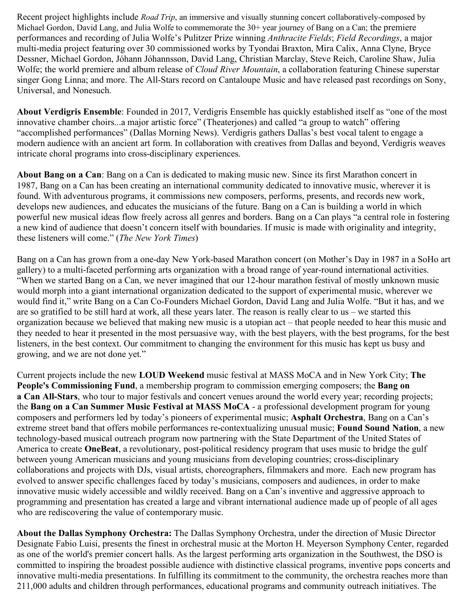Recent project highlights include *Road Trip*, an immersive and visually stunning concert collaboratively-composed by Michael Gordon, David Lang, and Julia Wolfe to commemorate the 30+ year journey of Bang on a Can; the premiere performances and recording of Julia Wolfe's Pulitzer Prize winning *Anthracite Fields*; *Field Recordings*, a major multi-media project featuring over 30 commissioned works by Tyondai Braxton, Mira Calix, Anna Clyne, Bryce Dessner, Michael Gordon, Jóhann Jóhannsson, David Lang, Christian Marclay, Steve Reich, Caroline Shaw, Julia Wolfe; the world premiere and album release of *Cloud River Mountain*, a collaboration featuring Chinese superstar singer Gong Linna; and more. The All-Stars record on Cantaloupe Music and have released past recordings on Sony, Universal, and Nonesuch.

**About Verdigris Ensemble**: Founded in 2017, Verdigris Ensemble has quickly established itself as "one of the most innovative chamber choirs...a major artistic force" (Theaterjones) and called "a group to watch" offering "accomplished performances" (Dallas Morning News). Verdigris gathers Dallas's best vocal talent to engage a modern audience with an ancient art form. In collaboration with creatives from Dallas and beyond, Verdigris weaves intricate choral programs into cross-disciplinary experiences.

**About Bang on a Can**: Bang on a Can is dedicated to making music new. Since its first Marathon concert in 1987, Bang on a Can has been creating an international community dedicated to innovative music, wherever it is found. With adventurous programs, it commissions new composers, performs, presents, and records new work, develops new audiences, and educates the musicians of the future. Bang on a Can is building a world in which powerful new musical ideas flow freely across all genres and borders. Bang on a Can plays "a central role in fostering a new kind of audience that doesn't concern itself with boundaries. If music is made with originality and integrity, these listeners will come." (*The New York Times*)

Bang on a Can has grown from a one-day New York-based Marathon concert (on Mother's Day in 1987 in a SoHo art gallery) to a multi-faceted performing arts organization with a broad range of year-round international activities. "When we started Bang on a Can, we never imagined that our 12-hour marathon festival of mostly unknown music would morph into a giant international organization dedicated to the support of experimental music, wherever we would find it," write Bang on a Can Co-Founders Michael Gordon, David Lang and Julia Wolfe. "But it has, and we are so gratified to be still hard at work, all these years later. The reason is really clear to us – we started this organization because we believed that making new music is a utopian act – that people needed to hear this music and they needed to hear it presented in the most persuasive way, with the best players, with the best programs, for the best listeners, in the best context. Our commitment to changing the environment for this music has kept us busy and growing, and we are not done yet."

Current projects include the new **LOUD Weekend** music festival at MASS MoCA and in New York City; **The People's Commissioning Fund**, a membership program to commission emerging composers; the **Bang on a Can All-Stars**, who tour to major festivals and concert venues around the world every year; recording projects; the **Bang on a Can Summer Music Festival at MASS MoCA** - a professional development program for young composers and performers led by today's pioneers of experimental music; **Asphalt Orchestra**, Bang on a Can's extreme street band that offers mobile performances re-contextualizing unusual music; **Found Sound Nation**, a new technology-based musical outreach program now partnering with the State Department of the United States of America to create **OneBeat**, a revolutionary, post-political residency program that uses music to bridge the gulf between young American musicians and young musicians from developing countries; cross-disciplinary collaborations and projects with DJs, visual artists, choreographers, filmmakers and more. Each new program has evolved to answer specific challenges faced by today's musicians, composers and audiences, in order to make innovative music widely accessible and wildly received. Bang on a Can's inventive and aggressive approach to programming and presentation has created a large and vibrant international audience made up of people of all ages who are rediscovering the value of contemporary music.

**About the Dallas Symphony Orchestra:** The Dallas Symphony Orchestra, under the direction of Music Director Designate Fabio Luisi, presents the finest in orchestral music at the Morton H. Meyerson Symphony Center, regarded as one of the world's premier concert halls. As the largest performing arts organization in the Southwest, the DSO is committed to inspiring the broadest possible audience with distinctive classical programs, inventive pops concerts and innovative multi-media presentations. In fulfilling its commitment to the community, the orchestra reaches more than 211,000 adults and children through performances, educational programs and community outreach initiatives. The